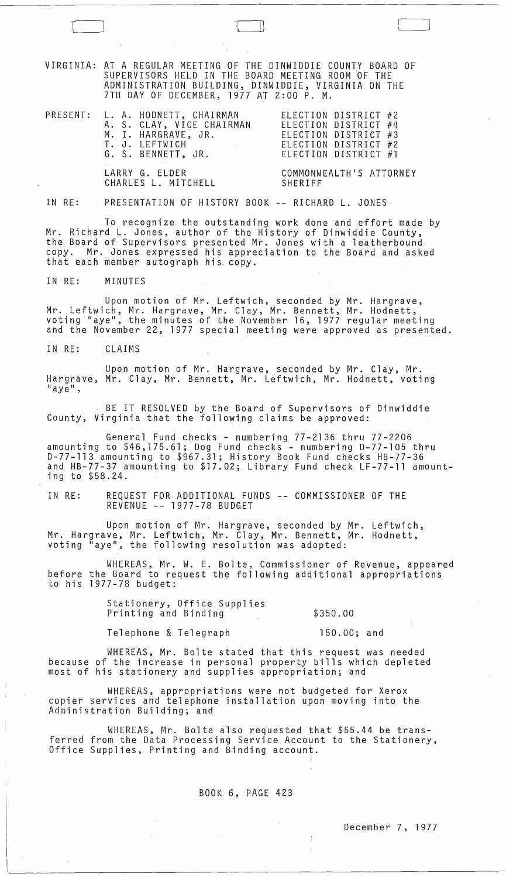VIRGINIA: AT A REGULAR MEETING OF THE DINWIDDIE COUNTY BOARD OF SUPERVISORS HELD IN THE BOARD MEETING ROOM OF THE ADMINISTRATION BUILDING, DINWIDDIE, VIRGINIA ON THE 7TH DAY OF DECEMBER, 1977 AT 2:00 P. M.

 $\sqcup$ 

|  | PRESENT: L. A. HODNETT, CHAIRMAN                            | ELECTION DISTRICT #2                                                                                                                                                                                                                                                                                                                                                                                                                                                                   |
|--|-------------------------------------------------------------|----------------------------------------------------------------------------------------------------------------------------------------------------------------------------------------------------------------------------------------------------------------------------------------------------------------------------------------------------------------------------------------------------------------------------------------------------------------------------------------|
|  | A. S. CLAY, VICE CHAIRMAN                                   | ELECTION DISTRICT #4                                                                                                                                                                                                                                                                                                                                                                                                                                                                   |
|  | M. I. HARGRAVE, JR.                                         | ELECTION DISTRICT #3                                                                                                                                                                                                                                                                                                                                                                                                                                                                   |
|  | T. J. LEFTWICH<br>the control of the control of the control | ELECTION DISTRICT #2                                                                                                                                                                                                                                                                                                                                                                                                                                                                   |
|  | G. S. BENNETT, JR.                                          | ELECTION DISTRICT $#1$                                                                                                                                                                                                                                                                                                                                                                                                                                                                 |
|  |                                                             | $\mathcal{L} \cap \mathcal{L} \cup \mathcal{L} \cap \mathcal{L} \cup \mathcal{L} \cup \mathcal{L} \cup \mathcal{L} \cup \mathcal{L} \cup \mathcal{L} \cup \mathcal{L} \cup \mathcal{L} \cup \mathcal{L} \cup \mathcal{L} \cup \mathcal{L} \cup \mathcal{L} \cup \mathcal{L} \cup \mathcal{L} \cup \mathcal{L} \cup \mathcal{L} \cup \mathcal{L} \cup \mathcal{L} \cup \mathcal{L} \cup \mathcal{L} \cup \mathcal{L} \cup \mathcal{L} \cup \mathcal{L} \cup \mathcal{L} \cup \mathcal{$ |
|  | $\blacksquare$                                              |                                                                                                                                                                                                                                                                                                                                                                                                                                                                                        |

CHARLES L. MITCHELL

LARRY G. ELDER COMMONWEALTH'S ATTORNEY<br>CHARLES L. MITCHELL SHERIFF

#### IN RE: PRESENTATION OF HISTORY BOOK -- RICHARD L. JONES

To recognize the outstanding work done and effort made by Mr. Richard L. Jones, author of the History of Dinwiddie County, the Board of Supervisors presented Mr. Jones with a leatherbound<br>copy. Mr. Jones expressed his appreciation to the Board and ask Mr. Jones expressed his appreciation to the Board and asked that each member autograph his copy.

IN RE: MINUTES

Upon motion of Mr. Leftwich, seconded by Mr. Hargrave, Mr. Leftwich, Mr. Hargrave, Mr. Clay, Mr. Bennett, Mr. Hodnett, voting "aye", the minutes of the November 16, 1977 regular meeting and the November 22, 1977 special meeting were approved as presented.

IN RE: CLAIMS

Upon motion of Mr. Hargrave, seconded by Mr. Clay, Mr. Hargrave, Mr. Clay, Mr. Bennett, Mr. Leftwich, Mr. Hodnett, voting<br>"ave".

BE IT RESOLVED by the Board of Supervisors of Dinwiddie County, Virginia that the following claims be approved:

General Fund checks - numbering 77-2136 thru 77-2206 amounting to \$46,175.61; Dog Fund checks - numbering D-77-105 thru 0-77-113 amounting to \$967.31; History Book Fund checks HB-77-36 and HB-77-37 amounting to \$17.02; Library Fund check LF-77-11 amounting to \$58.24.

IN RE: REQUEST FOR ADDITIONAL FUNDS REVENUE -- 1977-78 BUDGET COMMISSIONER OF THE

Upon motion of Mr. Hargrave, seconded by Mr. Leftwich, Mr. Hargrave, Mr. Leftwich, Mr. Clay, Mr. Bennett, Mr. Hodnett, voting "aye", the following resolution was adopted:

WHEREAS, Mr. W. E. Bolte, Commissioner of Revenue, appeared before the Board to request the following additional appropriations to his 1977-78 budget:

> Stationery, Office Supplies Printing and Binding

\$350.00

 $\frac{1}{2}$ 

Telephone & Telegraph

150.00; and

WHEREAS, Mr. Bolte stated that this request was needed because of the increase in personal property bills which depleted most of his stationery and supplies appropriation; and

WHEREAS, appropriations were not budgeted for Xerox copier services and telephone installation upon moving into the Administration Building; and

WHEREAS, Mr. Bolte also requested that \$55.44 be transferred from the Data Processing Service Account to the Stationery, Office Supplies, Printing and Binding account.

# BOOK 6, PAGE 423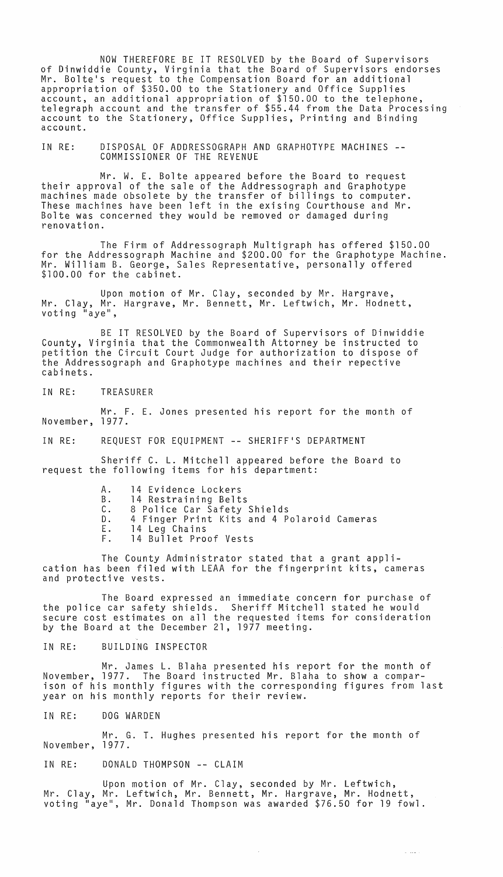NOW THEREFORE BE IT RESOLVED by the Board of Supervisors of Dinwiddie County, Virginia that the Board of Supervisors endorses Mr. Bolte's request to the Compensation Board for an additional appropriation of \$350.00 to the Stationery and Office Supplies account, an additional appropriation of \$150.00 to the telephone,<br>telegraph account and the transfer of \$55.44 from the Data Processing account to the Stationery, Office Supplies, Printing and Binding account.

IN RE: DISPOSAL OF ADDRESSOGRAPH AND GRAPHOTYPE MACHINES -- COMMISSIONER OF THE REVENUE

Mr. W. E. Bolte appeared before the Board to request their approval of the sale of the Addressograph and Graphotype machines made obsolete by the transfer of billings to computer. These machines have been left in the exising Courthouse and Mr. Bolte was concerned they would be removed or damaged during renovation.

The Firm of Addressograph Mu1tigraph has offered \$150.00 for the Addressograph Machine and \$200.00 for the Graphotype Machine. Mr. William B. George, Sales Representative, personally offered \$100.00 for the cabinet.

Upon motion of Mr. Clay, seconded by Mr. Hargrave, Mr. Clay, Mr. Hargrave, Mr. Bennett, Mr. Leftwich, Mr. Hodnett, voting "aye",

BE IT RESOLVED by the Board of Supervisors of Dinwiddie County, Virginia that the Commonwealth Attorney be instructed to petition the Circuit Court Judge for authorization to dispose of the Addressograph and Graphotype machines and their repective cabinets.

IN RE: TREASURER

Mr. F. E. Jones presented his report for the month of November, 1977.

IN RE: REQUEST FOR EQUIPMENT -- SHERIFF'S DEPARTMENT

Sheriff C. L. Mitchell appeared before the Board to request the following items for his department:

- A. 14 Evidence Lockers
- B. 14 Restraining Belts<br>C. 8 Police Car Safety
- 8 Police Car Safety Shields
- D. 4 Finger Print Kits and 4 Polaroid Cameras<br>E. 14 Leg Chains
- E. 14 Leg Chains<br>F. 14 Bullet Pro 14 Bullet Proof Vests
- 

The County Administrator stated that a grant application has been filed with LEAA for the fingerprint kits, cameras and protective vests.

The Board expressed an immediate concern for purchase of the police car safety shields. Sheriff Mitchell stated he would secure cost estimates on all the requested items for consideration by the Board at the December 21, 1977 meeting.

IN RE: BUILDING INSPECTOR

Mr. James L. Blaha presented his report for the month of November, 1977. The Board instructed Mr. Blaha to show a comparison of his monthly figures with the corresponding figures from last year on his monthly reports for their review.

IN RE: DOG WARDEN

Mr. G. T. Hughes presented his report for the month of November, 1977.

IN RE: DONALD THOMPSON -- CLAIM

Upon motion of Mr. Clay, seconded by Mr. Leftwich, Mr. Clay, Mr. Leftwich, Mr. Bennett, Mr. Hargrave, Mr. Hodnett, voting "aye", Mr. Donald Thompson was awarded \$76.50 for 19 fowl.

 $\Delta$  , which is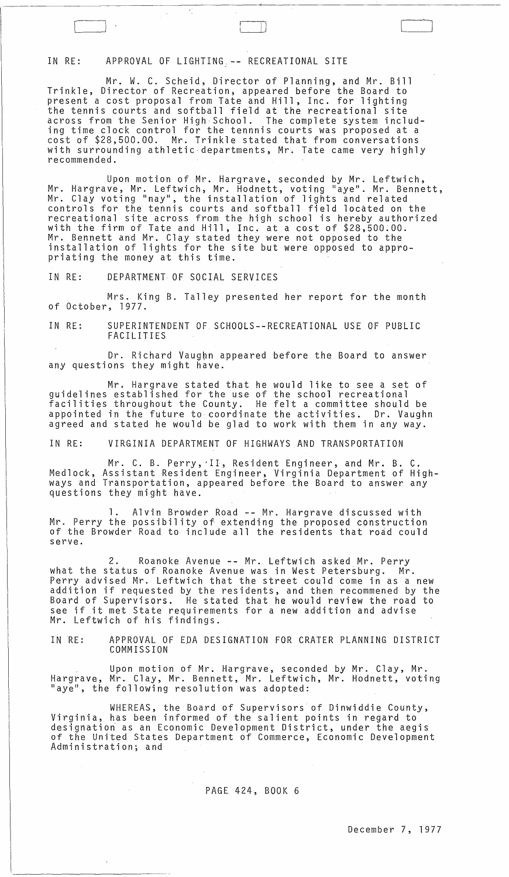## IN RE: APPROVAL OF LIGHTING -- RECREATIONAL SITE

 $\sim$ , I)  $\sim$ , I)  $\sim$ 

Mr. W. C. Scheid, Director of Planning, and Mr. Bill Trinkle, Director of Recreation; appeared before the Board to present a cost proposal from Tate and Hill, Inc. for lighting the tennis courts and softball field at the recreational site across from the Senior High School. The complete system including time clock control for the tennnis courts was proposed at a cost of \$28,500.00. Mr. Trinkle stated that from conversations with surrounding athletic departments, Mr. Tate came very highly recommended.

~-----------------~-------"----------------------

 $\prod$ 

Upon motion of Mr. Hargrave, seconded by Mr. Leftwich, Mr. Hargrave, Mr. Leftwich, Mr. Hodnett, voting "aye". Mr. Bennett, Mr. Clay voting "nay", the installation of lights and related controls for the tehnis courts and softball field located on the recreational site across from the high school is hereby authorized with the firm of Tate and Hill, Inc. at a cost of \$28,500.00. Mr. Bennett and Mr. Clay stated they were not opposed to the installation of lights for the site but were opposed to appropriating the money at this time.

IN RE: DEPARTMENT OF SOCIAL SERVICES

Mrs. King B. Talley presented her report for the month of October, 1977.

IN RE: SUPERINTENDENT OF SCHOOLS--RECREATIONAL USE OF PUBLIC FACILITIES

Dr. Richard Vaughn appeared before the Board to answer any questions they might have.

Mr. Hargrave stated that he would like to see a set of guidelines established for the use of the school recreational facilities throughout the County. He felt a committee should be appointed in the future to coordinate the activities. Dr. Vaughn agreed and stated he would be glad to work with them in any way.

IN RE: VIRGINIA DEPARTMENT OF HIGHWAYS AND TRANSPORTATION

Mr. C. B. Perry, 'II, Resident Engineer, and Mr. B. C. Medlock, Assistant Resident Engineer, Virginia Department of Highways and Transportation, appeared before the Board to answer any questions they might have.

1. Alvin Browder Road -- Mr. Hargrave discussed with Mr. Perry the possibility of extending the proposed construction of the Browder Road to include all the residents that road could serve.

2. Roanoke Avenue -- Mr. Leftwich asked Mr. Perry what the status of Roanoke Avenue was in West Petersburg. Mr. Perry advised Mr. Leftwich that the street could come in as a new addition if requested by the residents, and then recommened by the Board of Supervisors. He stated that he would review the road to see if it met State requirements for a new addition and advise Mr. Leftwich of his findings.

IN RE: APPROVAL OF EDA DESIGNATION FOR CRATER PLANNING DISTRICT COMMISSION

Upon motion of Mr. Hargrave, seconded by Mr. Clay, Mr. Hargrave, Mr. Clay, Mr. Bennett, Mr. Leftwich, Mr. Hodnett, voting "aye", the following resolution was adopted:

WHEREAS, the Board of Supervisors of Dinwiddie County, Virginia, has been informed of the salient points in regard to designation as an Economic Development District, under the aegis<br>of the United States Department of Commerce, Economic Development<br>Administration; and

### PAGE\_ 424, BOOK 6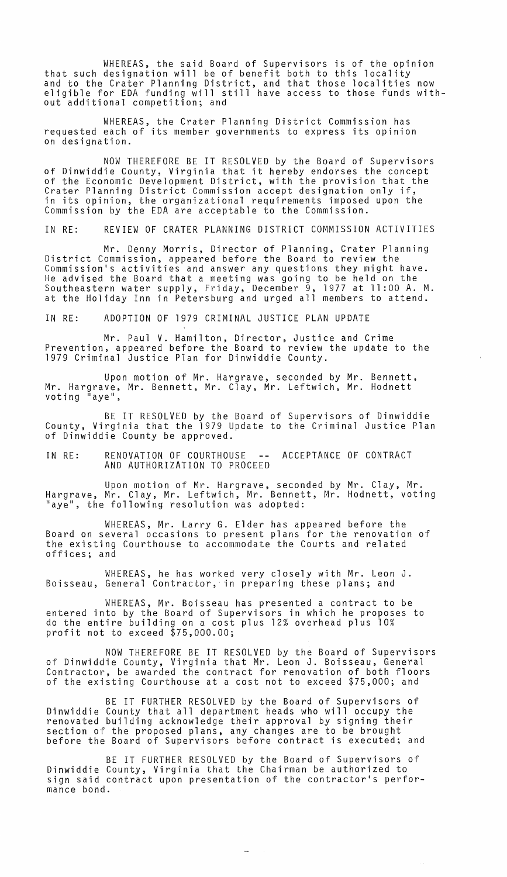WHEREAS, the said Board of Supervisors is of the opinion that such designation will be of benefit both to this locality and to the Crater Planning District, and that those localities now eligible for EDA funding will still have access to those funds without additional competition; and

WHEREAS, the Crater Planning District Commission has requested each of its member governments to express its opinion on designation.

NOW THEREFORE BE IT RESOLVED by the Board of Supervisors of Dinwiddie County, Virginia that it hereby endorses the concept of the Economic Development District, with the provision that the Crater Planning District Commission accept designation only if, in its opinion, the organizational requirements imposed upon the Commission by the EDA are acceptable to the Commission.

IN RE: REVIEW OF CRATER PLANNING DISTRICT COMMISSION ACTIVITIES

Mr. Denny Morris, Director of Planning, Crater Planning District Commission, appeared before the Board to review the Commission's activities and answer any questions they might have. He advised the Board that a meeting was going to be held on the Southeastern water supply, Friday, December 9, 1977 at 11 :00 A. M. at the Holiday Inn in Petersburg and urged all members to attend.

IN RE: ADOPTION OF 1979 CRIMINAL JUSTICE PLAN UPDATE

Mr. Paul V. Hamilton, Director, Justice and Crime Prevention, appeared before the Board to review the update to the 1979 Criminal Justice Plan for Dinwiddie County.

Upon motion of Mr. Hargrave, seconded by Mr. Bennett, Mr. Hargrave, Mr. Bennett, Mr. Clay, Mr. Leftwich, Mr. Hodnett voting "aye",

BE IT RESOLVED by the Board of Supervisors of Dinwiddie County, Virginia that the 1979 Update to the Criminal Justice Plan of Dinwiddie County be approved.

IN RE: RENOVATION OF COURTHOUSE -- ACCEPTANCE OF CONTRACT AND AUTHORIZATION TO PROCEED

Upon motion of Mr. Hargrave, seconded by Mr. Clay, Mr. Hargrave, Mr. Clay, Mr. Leftwich, Mr. Bennett, Mr. Hodnett, voting "aye", the following resolution was adopted:

WHEREAS, Mr. Larry G. Elder has appeared before the Board on several occasions to present plans for the renovation of the existing Courthouse to accommodate the Courts and related offices; and

WHEREAS, he has worked very closely with Mr. Leon J. Boisseau, General Contractor, in preparing these plans; and

WHEREAS, Mr. Boisseau has presented a contract to be entered into by the Board of Supervisors in which he proposes to do the entire building on a cost plus 12% overhead plus 10% profit not to exceed \$75,000.00;

NOW THEREFORE BE IT RESOLVED by the Board of Supervisors of Dinwiddie County, Virginia that Mr. Leon J. Boisseau, General Contractor, be awarded the contract for renovation of both floors of the existing Courthouse at a cost not to exceed \$75,000; and

BE IT FURTHER RESOLVED by the Board of Supervisors of Dinwiddie County that all department heads who will occupy the renovated building acknowledge their approval by signing their section of the proposed plans, any changes are to be brought<br>before the Board of Supervisors before contract is executed; and

BE IT FURTHER RESOLVED by the Board of Supervisors of Dinwiddie County, Virginia that the Chairman be authorized to sign said contract upon presentation of the contractor's performance bond.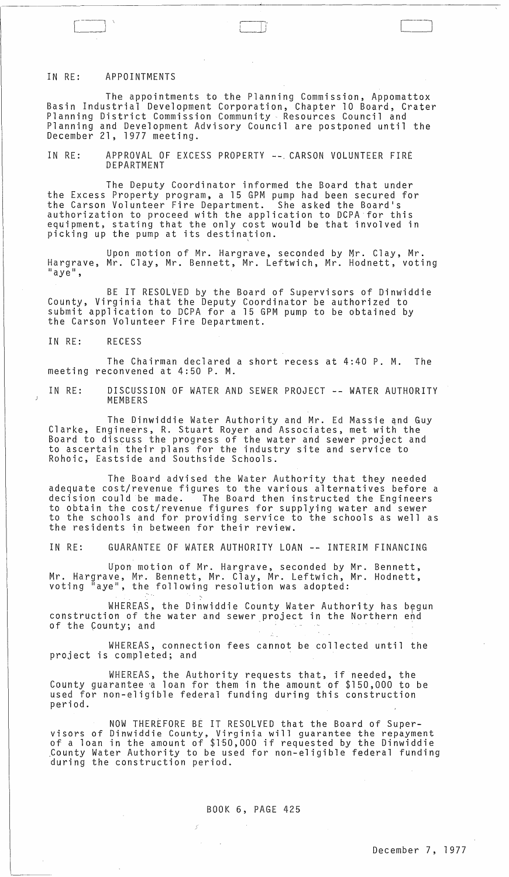#### IN RE: APPOINTMENTS

The appointments to the Planning Commission, Appomattox Basin Industrial Development Corporation, Chapter 10 Board, Crater Planning District Commission Community Resources Council and Planning and Development Advisory Council are postponed until the December 21, 1977 meeting.

\_\_\_\_\_\_\_\_\_\_\_\_\_\_\_\_\_\_\_\_\_\_\_\_\_\_\_\_\_\_\_\_\_ ~ \_\_\_\_\_\_\_\_\_\_ L\_ \_\_\_\_\_\_\_\_\_\_\_\_\_\_\_\_\_\_\_\_\_\_\_\_\_\_\_\_\_\_\_\_\_\_\_\_\_\_ \_\_\_

I ,' i

IN RE: APPROVAL OF EXCESS PROPERTY -- CARSON VOLUNTEER FIRE DEPARTMENT

The Deputy Coordinator informed the Board that under the Excess Property program, a 15 GPM pump had been secured for the Carson Volunteer Fire Department. She asked the Board's authorization to proceed with the application to DCPA for this equipment, stating that the only cost would be that involved in picking up the pump at its destination.

Upon motion of Mr. Hargrave, seconded by Mr. Clay, Mr. Hargrave, Mr. Clay, Mr. Bennett, Mr. Leftwich, Mr. Hodnett, voting<br>"aye",

BE IT RESOLVED by the Board of Supervisors of Dinwiddie County, Virginia that the Deputy Coordinator be authorized to submit application to DCPA for a 15 GPM pump to be obtained by the Carson Volunteer Fire Department.

IN RE: RECESS

The Chairman declared a short recess at 4:40 P. M. The meeting reconvened at 4:50 P. M.

IN RE: DISCUSSION OF WATER AND SEWER PROJECT -- WATER AUTHORITY MEMBERS

The Dinwiddie Water Authority and Mr. Ed Massie and Guy<br>Clarke, Engineers, R. Stuart Royer and Associates, met with the Board to discuss the progress of the water and sewer project and to ascertain their plans for the industry site and service to Rohoic, Eastside and Southside Schools.

The Board advised the Water Authority that they needed adequate cost/revenue figures to the various alternatives before a decision could be made. The Board then instructed the Engineers to obtain the cost/revenue figures for supplying water and sewer to the schools and for providing service to the schools as well as the residents in between for their review.

IN RE: GUARANTEE OF WATER AUTHORITY LOAN -- INTERIM FINANCING

Upon motion of Mr. Hargrave, seconded by Mr. Bennett, Mr. Hargrave, Mr. Bennett, Mr. Clay, Mr. Leftwich, Mr. Hodnett, voting "aye", the following resolution was adopted:

'.

 $\mathcal{L}^{\pm}$ 

 $\mathcal{O}(2\pi\log n)$  . The  $\mathcal{O}(n)$ 

 $\sim$ 

WHEREAS, the Dinwiddie County Water Authority has begun construction of the water and sewer project in the Northern end<br>of the County; and

WHEREAS, connection fees cannot be collected until the project is completed; and

WHEREAS, the Authority requests that, if needed, the County guarantee 'a loan for them in the amount of \$150,000 to be used for non-eligible federal funding during this construction period.

NOW THEREFORE BE IT RESOLVED that the Board of Super- visors of Dinwiddie County, Virginia will guarantee the repayment of a loan in the amount of \$150,000 if requested by the Dinwiddie County Water Authority to be used for non-eligible federal funding<br>during the construction period.